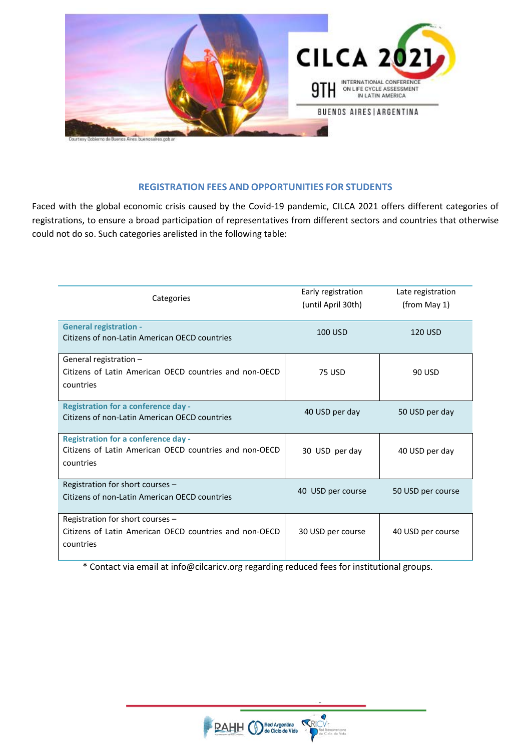

# **REGISTRATION FEES AND OPPORTUNITIES FOR STUDENTS**

Faced with the global economic crisis caused by the Covid-19 pandemic, CILCA 2021 offers different categories of registrations, to ensure a broad participation of representatives from different sectors and countries that otherwise could not do so. Such categories arelisted in the following table:

| Categories                                                                                                        | Early registration<br>(until April 30th) | Late registration<br>(from May 1) |
|-------------------------------------------------------------------------------------------------------------------|------------------------------------------|-----------------------------------|
| <b>General registration -</b><br>Citizens of non-Latin American OECD countries                                    | 100 USD                                  | <b>120 USD</b>                    |
| General registration -<br>Citizens of Latin American OECD countries and non-OECD<br>countries                     | <b>75 USD</b>                            | 90 USD                            |
| <b>Registration for a conference day -</b><br>Citizens of non-Latin American OECD countries                       | 40 USD per day                           | 50 USD per day                    |
| <b>Registration for a conference day -</b><br>Citizens of Latin American OECD countries and non-OECD<br>countries | 30 USD per day                           | 40 USD per day                    |
| Registration for short courses -<br>Citizens of non-Latin American OECD countries                                 | 40 USD per course                        | 50 USD per course                 |
| Registration for short courses -<br>Citizens of Latin American OECD countries and non-OECD<br>countries           | 30 USD per course                        | 40 USD per course                 |

\* Contact via email at info@cilcaricv.org regarding reduced fees for institutional groups.



Ō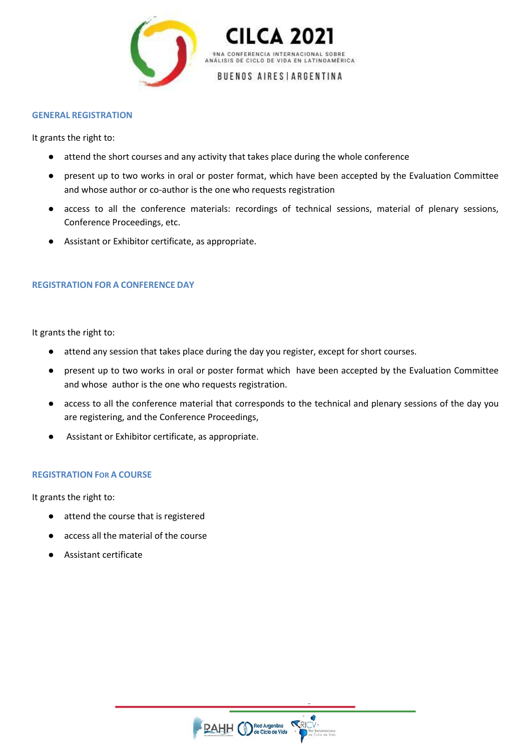



## BUENOS AIRES | ARGENTINA

#### **GENERAL REGISTRATION**

It grants the right to:

- attend the short courses and any activity that takes place during the whole conference
- present up to two works in oral or poster format, which have been accepted by the Evaluation Committee and whose author or co-author is the one who requests registration
- access to all the conference materials: recordings of technical sessions, material of plenary sessions, Conference Proceedings, etc.
- Assistant or Exhibitor certificate, as appropriate.

## **REGISTRATION FOR A CONFERENCE DAY**

It grants the right to:

- attend any session that takes place during the day you register, except for short courses.
- present up to two works in oral or poster format which have been accepted by the Evaluation Committee and whose author is the one who requests registration.
- access to all the conference material that corresponds to the technical and plenary sessions of the day you are registering, and the Conference Proceedings,
- Assistant or Exhibitor certificate, as appropriate.

## **REGISTRATION FOR A COURSE**

It grants the right to:

- attend the course that is registered
- access all the material of the course
- Assistant certificate

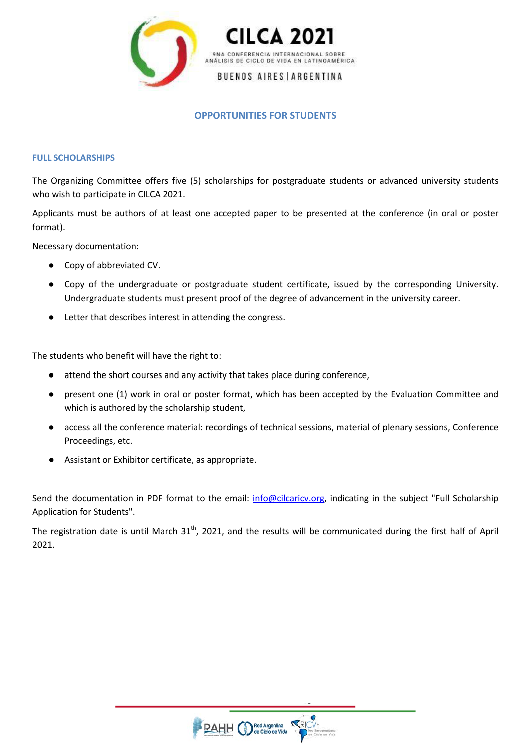



# **OPPORTUNITIES FOR STUDENTS**

#### **FULL SCHOLARSHIPS**

The Organizing Committee offers five (5) scholarships for postgraduate students or advanced university students who wish to participate in CILCA 2021.

Applicants must be authors of at least one accepted paper to be presented at the conference (in oral or poster format).

Necessary documentation:

- Copy of abbreviated CV.
- Copy of the undergraduate or postgraduate student certificate, issued by the corresponding University. Undergraduate students must present proof of the degree of advancement in the university career.
- Letter that describes interest in attending the congress.

The students who benefit will have the right to:

- attend the short courses and any activity that takes place during conference,
- present one (1) work in oral or poster format, which has been accepted by the Evaluation Committee and which is authored by the scholarship student,
- access all the conference material: recordings of technical sessions, material of plenary sessions, Conference Proceedings, etc.
- Assistant or Exhibitor certificate, as appropriate.

Send the documentation in PDF format to the email: [info@cilcaricv.org,](mailto:info@cilcaricv.org) indicating in the subject "Full Scholarship Application for Students".

The registration date is until March  $31<sup>th</sup>$ , 2021, and the results will be communicated during the first half of April 2021.

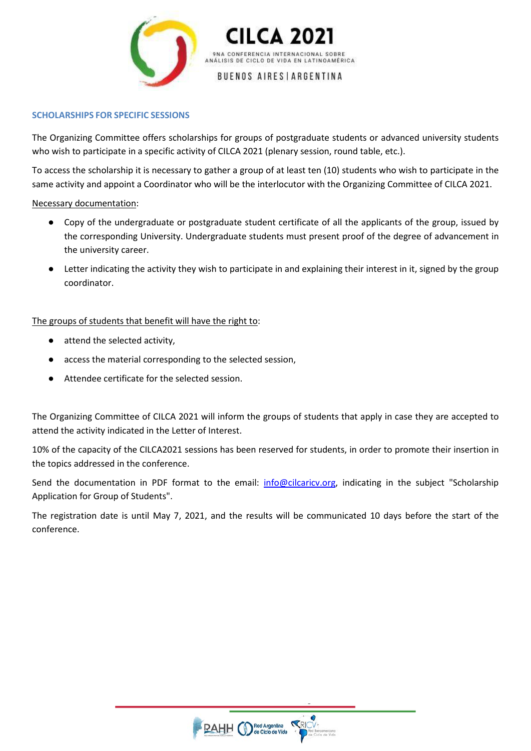

9NA CONFERENCIA INTERNACIONAL SOBRE ANÁLISIS DE CICLO DE VIDA EN LATINOAMÉRICA

**BUENOS AIRES | ARGENTINA** 

## **SCHOLARSHIPS FOR SPECIFIC SESSIONS**

The Organizing Committee offers scholarships for groups of postgraduate students or advanced university students who wish to participate in a specific activity of CILCA 2021 (plenary session, round table, etc.).

To access the scholarship it is necessary to gather a group of at least ten (10) students who wish to participate in the same activity and appoint a Coordinator who will be the interlocutor with the Organizing Committee of CILCA 2021.

## Necessary documentation:

- Copy of the undergraduate or postgraduate student certificate of all the applicants of the group, issued by the corresponding University. Undergraduate students must present proof of the degree of advancement in the university career.
- Letter indicating the activity they wish to participate in and explaining their interest in it, signed by the group coordinator.

# The groups of students that benefit will have the right to:

- attend the selected activity,
- access the material corresponding to the selected session,
- Attendee certificate for the selected session.

The Organizing Committee of CILCA 2021 will inform the groups of students that apply in case they are accepted to attend the activity indicated in the Letter of Interest.

10% of the capacity of the CILCA2021 sessions has been reserved for students, in order to promote their insertion in the topics addressed in the conference.

Send the documentation in PDF format to the email: [info@cilcaricv.org,](mailto:info@cilcaricv.org) indicating in the subject "Scholarship Application for Group of Students".

The registration date is until May 7, 2021, and the results will be communicated 10 days before the start of the conference.